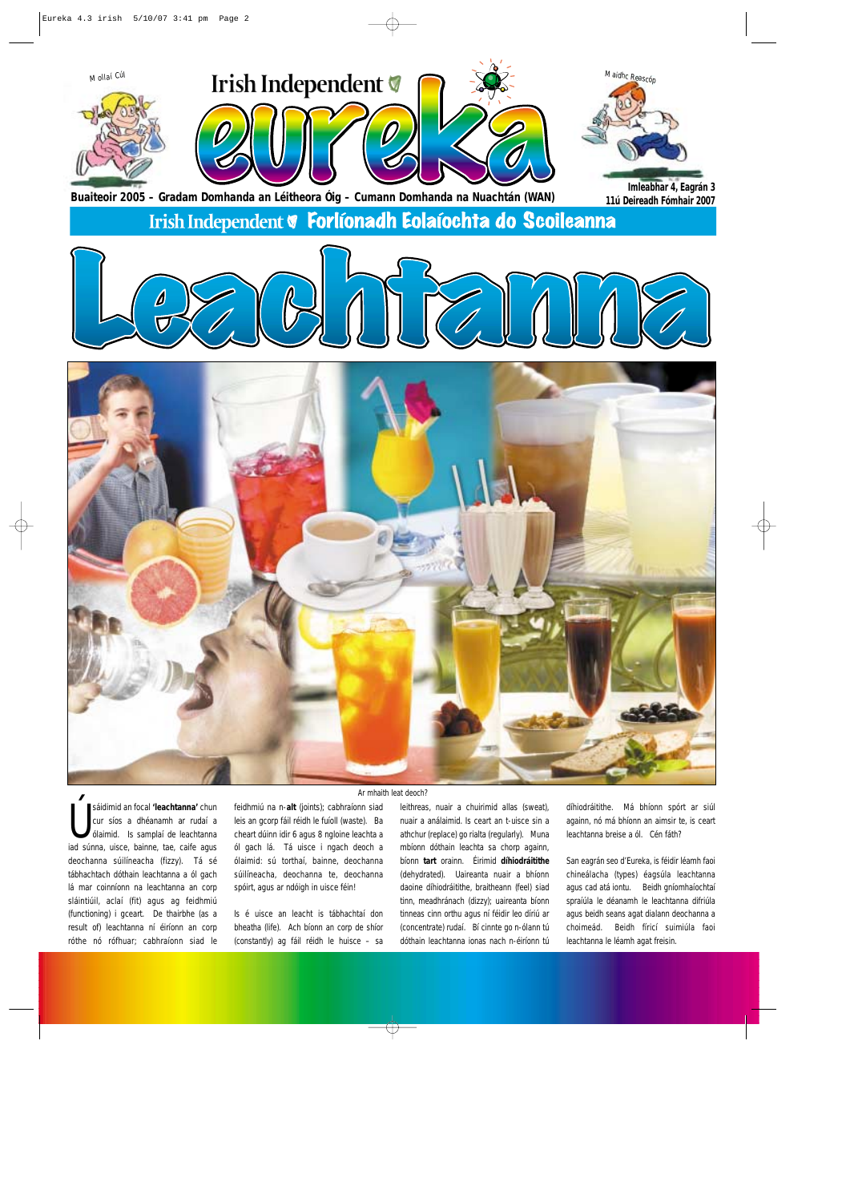

sáidimid an focal 'leachtanna' chun<br>cur síos a dhéanamh ar rudaí a<br>id súnna, uisce, bainne, tae, caife agus sáidimid an focal **'leachtanna'** chun cur síos a dhéanamh ar rudaí a ólaimid. Is samplaí de leachtanna deochanna súilíneacha (fizzy). Tá sé tábhachtach dóthain leachtanna a ól gach lá mar coinníonn na leachtanna an corp sláintiúil, aclaí (fit) agus ag feidhmiú (functioning) i gceart. De thairbhe (as a result of) leachtanna ní éiríonn an corp róthe nó rófhuar; cabhraíonn siad le

feidhmiú na n-**alt** (joints); cabhraíonn siad leis an gcorp fáil réidh le fuíoll (waste). Ba cheart dúinn idir 6 agus 8 ngloine leachta a ól gach lá. Tá uisce i ngach deoch a ólaimid: sú torthaí, bainne, deochanna súilíneacha, deochanna te, deochanna spóirt, agus ar ndóigh in uisce féin!

Is é uisce an leacht is tábhachtaí don bheatha (life). Ach bíonn an corp de shíor (constantly) ag fáil réidh le huisce – sa

leithreas, nuair a chuirimid allas (sweat), nuair a análaimid. Is ceart an t-uisce sin a athchur (replace) go rialta (regularly). Muna mbíonn dóthain leachta sa chorp againn, bíonn **tart** orainn. Éirimid **díhiodráitithe** (dehydrated). Uaireanta nuair a bhíonn daoine díhiodráitithe, braitheann (feel) siad tinn, meadhránach (dizzy); uaireanta bíonn tinneas cinn orthu agus ní féidir leo díriú ar (concentrate) rudaí. Bí cinnte go n-ólann tú dóthain leachtanna ionas nach n-éiríonn tú díhiodráitithe. Má bhíonn spórt ar siúl againn, nó má bhíonn an aimsir te, is ceart leachtanna breise a ól. Cén fáth?

San eagrán seo d'Eureka, is féidir léamh faoi chineálacha (types) éagsúla leachtanna agus cad atá iontu. Beidh gníomhaíochtaí spraíúla le déanamh le leachtanna difriúla agus beidh seans agat dialann deochanna a choimeád. Beidh fíricí suimiúla faoi leachtanna le léamh agat freisin.

Ψ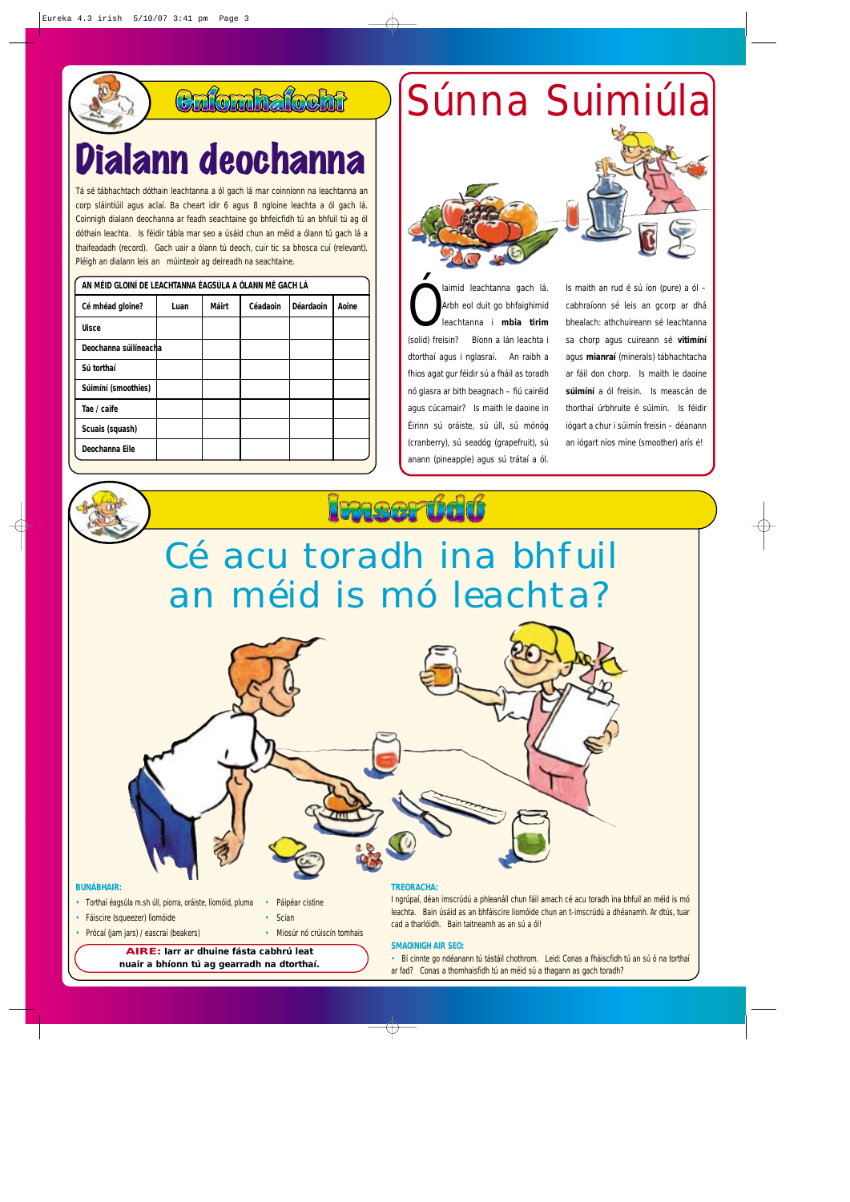### Caforahafocht

### Dialann deochanna

Tá sé tábhachtach dóthain leachtanna a ól gach lá mar coinníonn na leachtanna an corp sláintiúil agus aclaí. Ba cheart idir 6 agus 8 ngloine leachta a ól gach lá. Coinnigh dialann deochanna ar feadh seachtaine go bhfeicfidh tú an bhfuil tú ag ól dóthain leachta. Is féidir tábla mar seo a úsáid chun an méid a ólann tú gach lá a thaifeadadh (record). Gach uair a ólann tú deoch, cuir tic sa bhosca cuí (relevant). Pléigh an dialann leis an múinteoir ag deireadh na seachtaine.

| AN MÉID GLOINÍ DE LEACHTANNA ÉAGSÚLA A ÓLANN MÉ GACH LÁ |      |       |          |                  |       |
|---------------------------------------------------------|------|-------|----------|------------------|-------|
| Cé mhéad gloine?                                        | Luan | Máirt | Céadaoin | <b>Déardaoin</b> | Aoine |
| <b>Uisce</b>                                            |      |       |          |                  |       |
| Deochanna súilíneacha                                   |      |       |          |                  |       |
| Sú torthaí                                              |      |       |          |                  |       |
| Súimíní (smoothies)                                     |      |       |          |                  |       |
| Tae / caife                                             |      |       |          |                  |       |
| Scuais (squash)                                         |      |       |          |                  |       |
| Deochanna Eile                                          |      |       |          |                  |       |

Súnna Suimiúla



Ó laimid leachtanna gach lá. Arbh eol duit go bhfaighimid leachtanna i **mbia tirim** (solid) freisin? Bíonn a lán leachta i dtorthaí agus i nglasraí. An raibh a fhios agat gur féidir sú a fháil as toradh nó glasra ar bith beagnach – fiú cairéid agus cúcamair? Is maith le daoine in Éirinn sú oráiste, sú úll, sú mónóg (cranberry), sú seadóg (grapefruit), sú anann (pineapple) agus sú trátaí a ól.

Is maith an rud é sú íon (pure) a ól – cabhraíonn sé leis an gcorp ar dhá bhealach: athchuireann sé leachtanna sa chorp agus cuireann sé **vitimíní** agus **mianraí** (minerals) tábhachtacha ar fáil don chorp. Is maith le daoine **súimíní** a ól freisin. Is meascán de thorthaí úrbhruite é súimín. Is féidir iógart a chur i súimín freisin – déanann an iógart níos míne (smoother) arís é!

### **Fonser Gd6**

Cé acu toradh ina bhfuil an méid is mó leachta?



#### **BUNÁBHAIR:**

- Torthaí éagsúla m.sh úll, piorra, oráiste, líomóid, pluma Páipéar cistine
- Fáiscire (squeezer) líomóide Scian
- Prócaí (jam jars) / eascraí (beakers) Miosúr nó crúiscín tomhais

**AIRE: Iarr ar dhuine fásta cabhrú leat nuair a bhíonn tú ag gearradh na dtorthaí.** 

#### **TREORACHA:**

I ngrúpaí, déan imscrúdú a phleanáil chun fáil amach cé acu toradh ina bhfuil an méid is mó leachta. Bain úsáid as an bhfáiscire liomóide chun an t-imscrúdú a dhéanamh. Ar dtús, tuar cad a tharlóidh. Bain taitneamh as an sú a ól!

#### **SMAOINIGH AIR SEO:**

• Bí cinnte go ndéanann tú tástáil chothrom. Leid: Conas a fháiscfidh tú an sú ó na torthaí ar fad? Conas a thomhaisfidh tú an méid sú a thagann as gach toradh?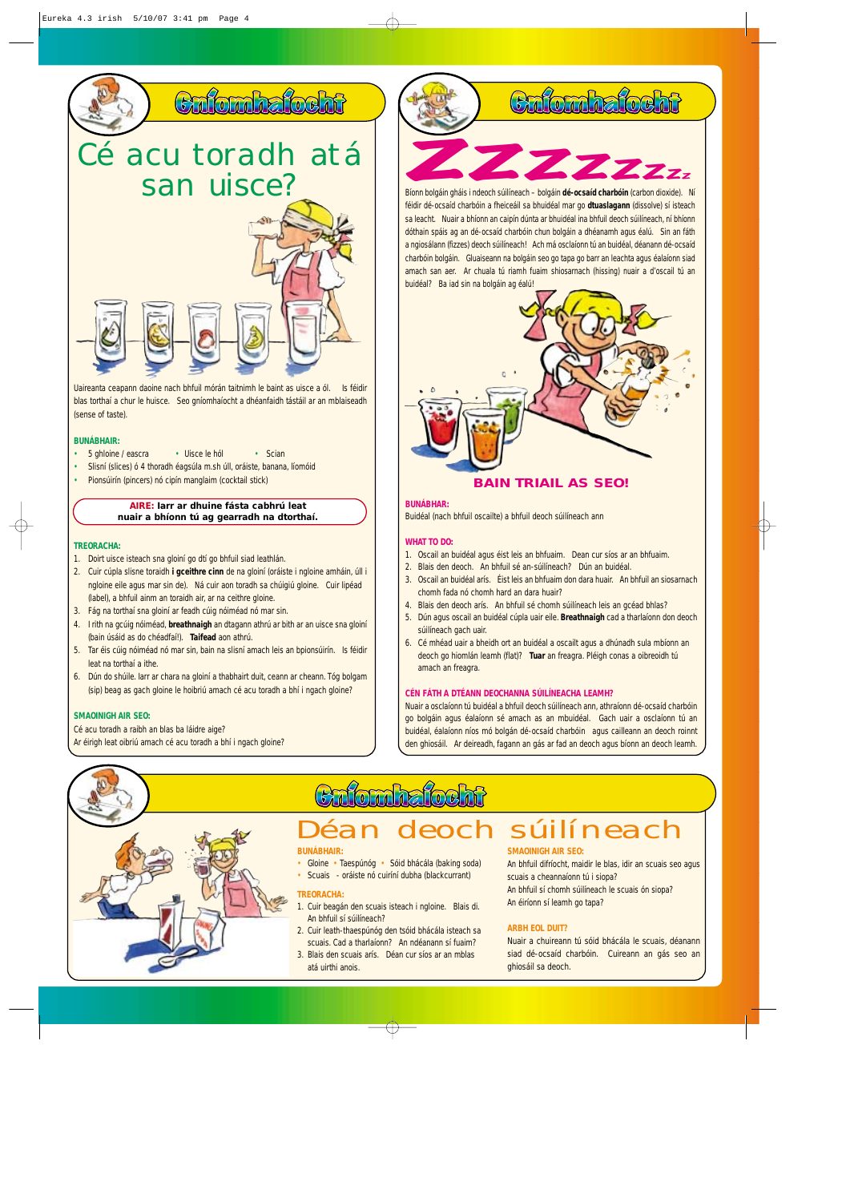

Uaireanta ceapann daoine nach bhfuil mórán taitnimh le baint as uisce a ól. Is féidir blas torthaí a chur le huisce. Seo gníomhaíocht a dhéanfaidh tástáil ar an mblaiseadh (sense of taste).

#### **BUNÁBHAIR:**

- 5 ghloine / eascra Uisce le hól Scian
- Slisní (slices) ó 4 thoradh éagsúla m.sh úll, oráiste, banana, líomóid
- Pionsúirín (pincers) nó cipín manglaim (cocktail stick)

#### **AIRE: Iarr ar dhuine fásta cabhrú leat nuair a bhíonn tú ag gearradh na dtorthaí.**

#### **TREORACHA:**

- 1. Doirt uisce isteach sna gloiní go dtí go bhfuil siad leathlán.
- 2. Cuir cúpla slisne toraidh **i gceithre cinn** de na gloiní (oráiste i ngloine amháin, úll i ngloine eile agus mar sin de). Ná cuir aon toradh sa chúigiú gloine. Cuir lipéad (label), a bhfuil ainm an toraidh air, ar na ceithre gloine.
- 3. Fág na torthaí sna gloiní ar feadh cúig nóiméad nó mar sin.
- 4. I rith na gcúig nóiméad, **breathnaigh** an dtagann athrú ar bith ar an uisce sna gloiní (bain úsáid as do chéadfaí!). **Taifead** aon athrú.
- 5. Tar éis cúig nóiméad nó mar sin, bain na slisní amach leis an bpionsúirín. Is féidir leat na torthaí a ithe.
- 6. Dún do shúile. Iarr ar chara na gloiní a thabhairt duit, ceann ar cheann. Tóg bolgam (sip) beag as gach gloine le hoibriú amach cé acu toradh a bhí i ngach gloine?

#### **SMAOINIGH AIR SEO:**

#### Cé acu toradh a raibh an blas ba láidre aige?

Ar éirigh leat oibriú amach cé acu toradh a bhí i ngach gloine?



féidir dé-ocsaíd charbóin a fheiceáil sa bhuidéal mar go **dtuaslagann** (dissolve) sí isteach sa leacht. Nuair a bhíonn an caipín dúnta ar bhuidéal ina bhfuil deoch súilíneach, ní bhíonn dóthain spáis ag an dé-ocsaíd charbóin chun bolgáin a dhéanamh agus éalú. Sin an fáth a ngiosálann (fizzes) deoch súilíneach! Ach má osclaíonn tú an buidéal, déanann dé-ocsaíd charbóin bolgáin. Gluaiseann na bolgáin seo go tapa go barr an leachta agus éalaíonn siad amach san aer. Ar chuala tú riamh fuaim shiosarnach (hissing) nuair a d'oscail tú an buidéal? Ba iad sin na bolgáin ag éalú!



#### **BAIN TRIAIL AS SEO!**

#### **BUNÁBHAR:**

Buidéal (nach bhfuil oscailte) a bhfuil deoch súilíneach ann

#### **WHAT TO DO:**

- 1. Oscail an buidéal agus éist leis an bhfuaim. Dean cur síos ar an bhfuaim.
- 2. Blais den deoch. An bhfuil sé an-súilíneach? Dún an buidéal.
- 3. Oscail an buidéal arís. Éist leis an bhfuaim don dara huair. An bhfuil an siosarnach
- chomh fada nó chomh hard an dara huair? 4. Blais den deoch arís. An bhfuil sé chomh súilíneach leis an gcéad bhlas?
- 5. Dún agus oscail an buidéal cúpla uair eile. **Breathnaigh** cad a tharlaíonn don deoch súilíneach gach uair.
- 6. Cé mhéad uair a bheidh ort an buidéal a oscailt agus a dhúnadh sula mbíonn an deoch go hiomlán leamh (flat)? **Tuar** an freagra. Pléigh conas a oibreoidh tú amach an freagra.

#### **CÉN FÁTH A DTÉANN DEOCHANNA SÚILÍNEACHA LEAMH?**

Nuair a osclaíonn tú buidéal a bhfuil deoch súilíneach ann, athraíonn dé-ocsaíd charbóin go bolgáin agus éalaíonn sé amach as an mbuidéal. Gach uair a osclaíonn tú an buidéal, éalaíonn níos mó bolgán dé-ocsaíd charbóin agus cailleann an deoch roinnt den ghiosáil. Ar deireadh, fagann an gás ar fad an deoch agus bíonn an deoch leamh.



# **Ciúirleíoch<br>Déan deoch súilíneach**

#### **BUNÁBHAIR:**

- Gloine Taespúnóg Sóid bhácála (baking soda)
- Scuais oráiste nó cuiríní dubha (blackcurrant)

#### **TREORACHA:**

- 1. Cuir beagán den scuais isteach i ngloine. Blais di. An bhfuil sí súilíneach?
- 2. Cuir leath-thaespúnóg den tsóid bhácála isteach sa scuais. Cad a tharlaíonn? An ndéanann sí fuaim?
- 3. Blais den scuais arís. Déan cur síos ar an mblas atá uirthi anois.

#### **SMAOINIGH AIR SEO:**

An bhfuil difríocht, maidir le blas, idir an scuais seo agus scuais a cheannaíonn tú i siopa? An bhfuil sí chomh súilíneach le scuais ón siopa? An éiríonn sí leamh go tapa?

#### **ARBH EOL DUIT?**

Nuair a chuireann tú sóid bhácála le scuais, déanann siad dé-ocsaíd charbóin. Cuireann an gás seo an ghiosáil sa deoch.